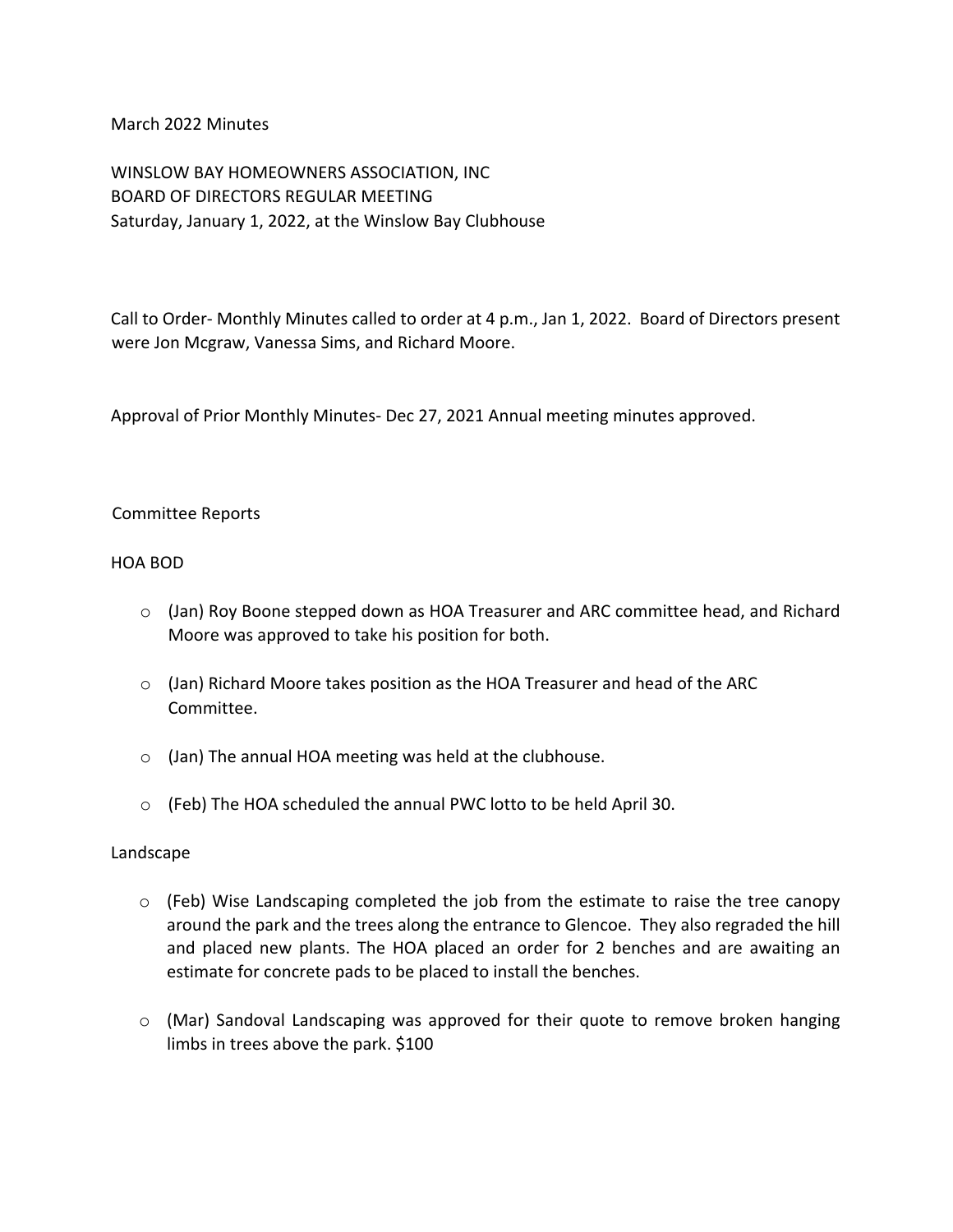March 2022 Minutes

WINSLOW BAY HOMEOWNERS ASSOCIATION, INC BOARD OF DIRECTORS REGULAR MEETING Saturday, January 1, 2022, at the Winslow Bay Clubhouse

Call to Order- Monthly Minutes called to order at 4 p.m., Jan 1, 2022. Board of Directors present were Jon Mcgraw, Vanessa Sims, and Richard Moore.

Approval of Prior Monthly Minutes- Dec 27, 2021 Annual meeting minutes approved.

## Committee Reports

#### HOA BOD

- $\circ$  (Jan) Roy Boone stepped down as HOA Treasurer and ARC committee head, and Richard Moore was approved to take his position for both.
- o (Jan) Richard Moore takes position as the HOA Treasurer and head of the ARC Committee.
- o (Jan) The annual HOA meeting was held at the clubhouse.
- o (Feb) The HOA scheduled the annual PWC lotto to be held April 30.

#### Landscape

- o (Feb) Wise Landscaping completed the job from the estimate to raise the tree canopy around the park and the trees along the entrance to Glencoe. They also regraded the hill and placed new plants. The HOA placed an order for 2 benches and are awaiting an estimate for concrete pads to be placed to install the benches.
- o (Mar) Sandoval Landscaping was approved for their quote to remove broken hanging limbs in trees above the park. \$100